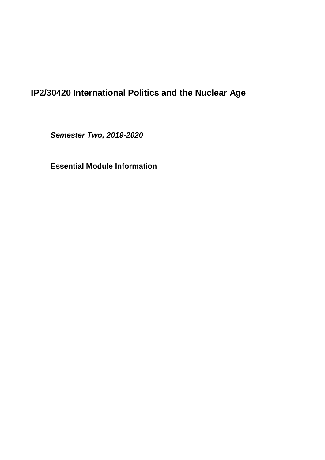# **IP2/30420 International Politics and the Nuclear Age**

*Semester Two, 2019-2020*

**Essential Module Information**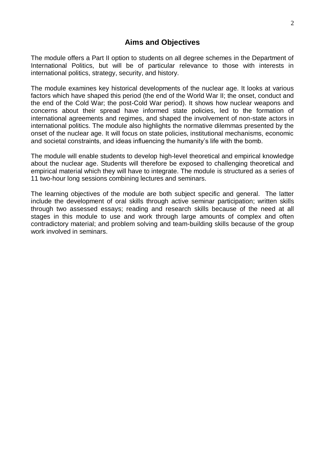The module offers a Part II option to students on all degree schemes in the Department of International Politics, but will be of particular relevance to those with interests in international politics, strategy, security, and history.

The module examines key historical developments of the nuclear age. It looks at various factors which have shaped this period (the end of the World War II; the onset, conduct and the end of the Cold War; the post-Cold War period). It shows how nuclear weapons and concerns about their spread have informed state policies, led to the formation of international agreements and regimes, and shaped the involvement of non-state actors in international politics. The module also highlights the normative dilemmas presented by the onset of the nuclear age. It will focus on state policies, institutional mechanisms, economic and societal constraints, and ideas influencing the humanity's life with the bomb.

The module will enable students to develop high-level theoretical and empirical knowledge about the nuclear age. Students will therefore be exposed to challenging theoretical and empirical material which they will have to integrate. The module is structured as a series of 11 two-hour long sessions combining lectures and seminars.

The learning objectives of the module are both subject specific and general. The latter include the development of oral skills through active seminar participation; written skills through two assessed essays; reading and research skills because of the need at all stages in this module to use and work through large amounts of complex and often contradictory material; and problem solving and team-building skills because of the group work involved in seminars.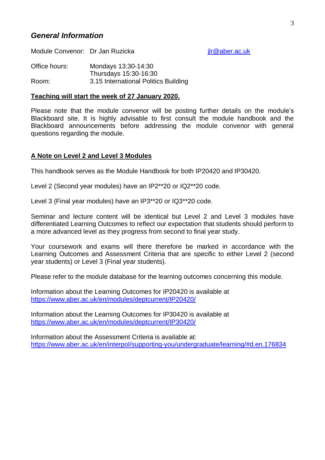# *General Information*

Module Convenor: Dr Jan Ruzicka in the same way in the same product of the Module Convention of the Music Section 1

Office hours: Mondays 13:30-14:30 Thursdays 15:30-16:30 Room: 3.15 International Politics Building

#### **Teaching will start the week of 27 January 2020.**

Please note that the module convenor will be posting further details on the module's Blackboard site. It is highly advisable to first consult the module handbook and the Blackboard announcements before addressing the module convenor with general questions regarding the module.

#### **A Note on Level 2 and Level 3 Modules**

This handbook serves as the Module Handbook for both IP20420 and IP30420.

Level 2 (Second year modules) have an IP2\*\*20 or IQ2\*\*20 code.

Level 3 (Final year modules) have an IP3\*\*20 or IQ3\*\*20 code.

Seminar and lecture content will be identical but Level 2 and Level 3 modules have differentiated Learning Outcomes to reflect our expectation that students should perform to a more advanced level as they progress from second to final year study.

Your coursework and exams will there therefore be marked in accordance with the Learning Outcomes and Assessment Criteria that are specific to either Level 2 (second year students) or Level 3 (Final year students).

Please refer to the module database for the learning outcomes concerning this module.

Information about the Learning Outcomes for IP20420 is available at <https://www.aber.ac.uk/en/modules/deptcurrent/IP20420/>

Information about the Learning Outcomes for IP30420 is available at <https://www.aber.ac.uk/en/modules/deptcurrent/IP30420/>

Information about the Assessment Criteria is available at: <https://www.aber.ac.uk/en/interpol/supporting-you/undergraduate/learning/#d.en.176834>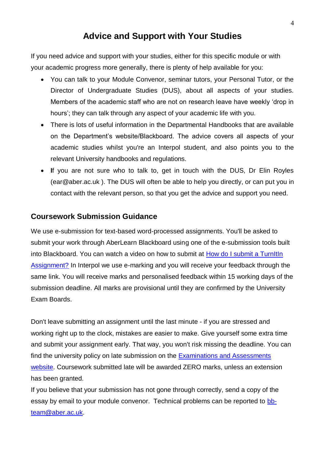# **Advice and Support with Your Studies**

If you need advice and support with your studies, either for this specific module or with your academic progress more generally, there is plenty of help available for you:

- You can talk to your Module Convenor, seminar tutors, your Personal Tutor, or the Director of Undergraduate Studies (DUS), about all aspects of your studies. Members of the academic staff who are not on research leave have weekly 'drop in hours'; they can talk through any aspect of your academic life with you.
- There is lots of useful information in the Departmental Handbooks that are available on the Department's website/Blackboard. The advice covers all aspects of your academic studies whilst you're an Interpol student, and also points you to the relevant University handbooks and regulations.
- **I**f you are not sure who to talk to, get in touch with the DUS, Dr Elin Royles (ear@aber.ac.uk ). The DUS will often be able to help you directly, or can put you in contact with the relevant person, so that you get the advice and support you need.

# **Coursework Submission Guidance**

We use e-submission for text-based word-processed assignments. You'll be asked to submit your work through AberLearn Blackboard using one of the e-submission tools built into Blackboard. You can watch a video on how to submit at [How do I submit a TurnItIn](http://www.inf.aber.ac.uk/advisory/faq/524/)  [Assignment?](http://www.inf.aber.ac.uk/advisory/faq/524/) In Interpol we use e-marking and you will receive your feedback through the same link. You will receive marks and personalised feedback within 15 working days of the submission deadline. All marks are provisional until they are confirmed by the University Exam Boards.

Don't leave submitting an assignment until the last minute - if you are stressed and working right up to the clock, mistakes are easier to make. Give yourself some extra time and submit your assignment early. That way, you won't risk missing the deadline. You can find the university policy on late submission on the [Examinations and Assessments](https://www.aber.ac.uk/en/aqro/students/ug-issues/exam-assess/)  [website.](https://www.aber.ac.uk/en/aqro/students/ug-issues/exam-assess/) Coursework submitted late will be awarded ZERO marks, unless an extension has been granted.

If you believe that your submission has not gone through correctly, send a copy of the essay by email to your module convenor. Technical problems can be reported to [bb](mailto:bb-team@aber.ac.uk)[team@aber.ac.uk.](mailto:bb-team@aber.ac.uk)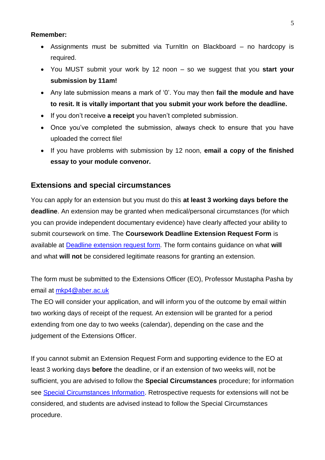#### **Remember:**

- Assignments must be submitted via TurnItIn on Blackboard no hardcopy is required.
- You MUST submit your work by 12 noon so we suggest that you **start your submission by 11am!**
- Any late submission means a mark of '0'. You may then **fail the module and have to resit. It is vitally important that you submit your work before the deadline.**
- If you don't receive **a receipt** you haven't completed submission.
- Once you've completed the submission, always check to ensure that you have uploaded the correct file!
- If you have problems with submission by 12 noon, **email a copy of the finished essay to your module convenor.**

# **Extensions and special circumstances**

You can apply for an extension but you must do this **at least 3 working days before the deadline**. An extension may be granted when medical/personal circumstances (for which you can provide independent documentary evidence) have clearly affected your ability to submit coursework on time. The **Coursework Deadline Extension Request Form** is available at [Deadline extension request form.](https://www.aber.ac.uk/en/interpol/supporting-you/undergraduate/learning/#d.en.176834) The form contains guidance on what **will** and what **will not** be considered legitimate reasons for granting an extension.

The form must be submitted to the Extensions Officer (EO), Professor Mustapha Pasha by email at [mkp4@aber.ac.uk](mailto:mkp4@aber.ac.uk)

The EO will consider your application, and will inform you of the outcome by email within two working days of receipt of the request. An extension will be granted for a period extending from one day to two weeks (calendar), depending on the case and the judgement of the Extensions Officer.

If you cannot submit an Extension Request Form and supporting evidence to the EO at least 3 working days **before** the deadline, or if an extension of two weeks will, not be sufficient, you are advised to follow the **Special Circumstances** procedure; for information see [Special Circumstances Information.](http://www.aber.ac.uk/en/academic/special-circumstances/) Retrospective requests for extensions will not be considered, and students are advised instead to follow the Special Circumstances procedure.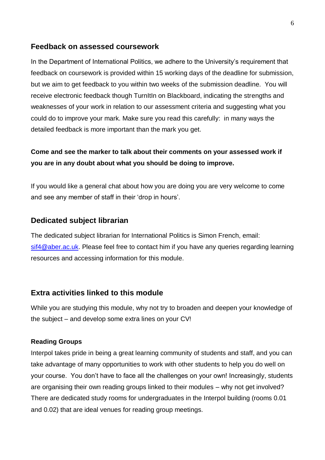#### **Feedback on assessed coursework**

In the Department of International Politics, we adhere to the University's requirement that feedback on coursework is provided within 15 working days of the deadline for submission, but we aim to get feedback to you within two weeks of the submission deadline. You will receive electronic feedback though TurnItIn on Blackboard, indicating the strengths and weaknesses of your work in relation to our assessment criteria and suggesting what you could do to improve your mark. Make sure you read this carefully: in many ways the detailed feedback is more important than the mark you get.

# **Come and see the marker to talk about their comments on your assessed work if you are in any doubt about what you should be doing to improve.**

If you would like a general chat about how you are doing you are very welcome to come and see any member of staff in their 'drop in hours'.

#### **Dedicated subject librarian**

The dedicated subject librarian for International Politics is Simon French, email: [sif4@aber.ac.uk.](mailto:sif4@aber.ac.uk) Please feel free to contact him if you have any queries regarding learning resources and accessing information for this module.

#### **Extra activities linked to this module**

While you are studying this module, why not try to broaden and deepen your knowledge of the subject – and develop some extra lines on your CV!

#### **Reading Groups**

Interpol takes pride in being a great learning community of students and staff, and you can take advantage of many opportunities to work with other students to help you do well on your course. You don't have to face all the challenges on your own! Increasingly, students are organising their own reading groups linked to their modules – why not get involved? There are dedicated study rooms for undergraduates in the Interpol building (rooms 0.01 and 0.02) that are ideal venues for reading group meetings.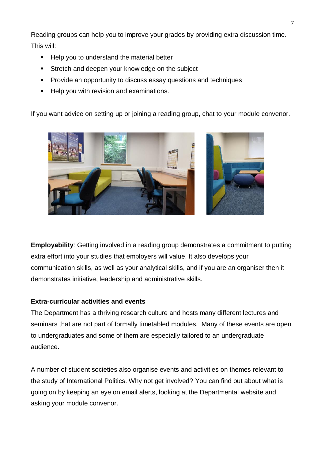Reading groups can help you to improve your grades by providing extra discussion time. This will:

- Help you to understand the material better
- **Stretch and deepen your knowledge on the subject**
- **Provide an opportunity to discuss essay questions and techniques**
- Help you with revision and examinations.

If you want advice on setting up or joining a reading group, chat to your module convenor.



**Employability***:* Getting involved in a reading group demonstrates a commitment to putting extra effort into your studies that employers will value. It also develops your communication skills, as well as your analytical skills, and if you are an organiser then it demonstrates initiative, leadership and administrative skills.

# **Extra-curricular activities and events**

The Department has a thriving research culture and hosts many different lectures and seminars that are not part of formally timetabled modules. Many of these events are open to undergraduates and some of them are especially tailored to an undergraduate audience.

A number of student societies also organise events and activities on themes relevant to the study of International Politics. Why not get involved? You can find out about what is going on by keeping an eye on email alerts, looking at the Departmental website and asking your module convenor.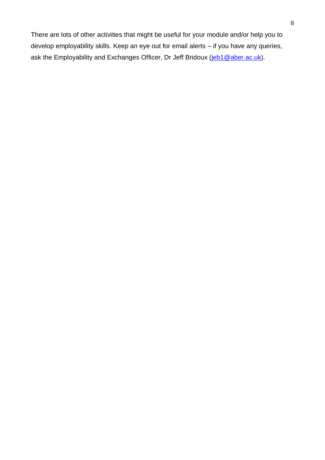There are lots of other activities that might be useful for your module and/or help you to develop employability skills. Keep an eye out for email alerts – if you have any queries, ask the Employability and Exchanges Officer, Dr Jeff Bridoux [\(jeb1@aber.ac.uk\)](mailto:jeb1@aber.ac.uk).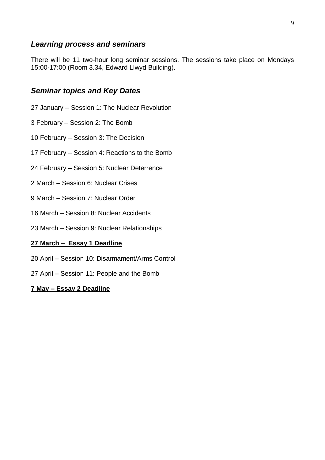## *Learning process and seminars*

There will be 11 two-hour long seminar sessions. The sessions take place on Mondays 15:00-17:00 (Room 3.34, Edward Llwyd Building).

## *Seminar topics and Key Dates*

- 27 January Session 1: The Nuclear Revolution
- 3 February Session 2: The Bomb
- 10 February Session 3: The Decision
- 17 February Session 4: Reactions to the Bomb
- 24 February Session 5: Nuclear Deterrence
- 2 March Session 6: Nuclear Crises
- 9 March Session 7: Nuclear Order
- 16 March Session 8: Nuclear Accidents
- 23 March Session 9: Nuclear Relationships

#### **27 March – Essay 1 Deadline**

- 20 April Session 10: Disarmament/Arms Control
- 27 April Session 11: People and the Bomb

#### **7 May – Essay 2 Deadline**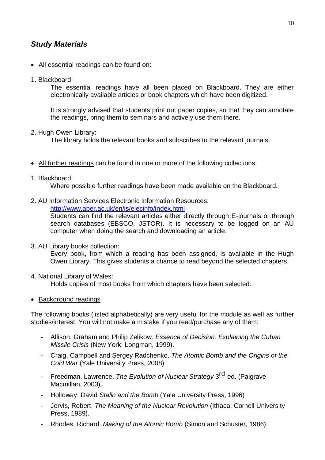# *Study Materials*

- All essential readings can be found on:
- 1. Blackboard:

The essential readings have all been placed on Blackboard. They are either electronically available articles or book chapters which have been digitized.

It is strongly advised that students print out paper copies, so that they can annotate the readings, bring them to seminars and actively use them there.

2. Hugh Owen Library:

The library holds the relevant books and subscribes to the relevant journals.

- All further readings can be found in one or more of the following collections:
- 1. Blackboard:

Where possible further readings have been made available on the Blackboard.

2. AU Information Services Electronic Information Resources:

<http://www.aber.ac.uk/en/is/elecinfo/index.html>

Students can find the relevant articles either directly through E-journals or through search databases (EBSCO, JSTOR). It is necessary to be logged on an AU computer when doing the search and downloading an article.

3. AU Library books collection:

Every book, from which a reading has been assigned, is available in the Hugh Owen Library. This gives students a chance to read beyond the selected chapters.

4. National Library of Wales:

Holds copies of most books from which chapters have been selected.

• Background readings

The following books (listed alphabetically) are very useful for the module as well as further studies/interest. You will not make a mistake if you read/purchase any of them:

- Allison, Graham and Philip Zelikow. *Essence of Decision: Explaining the Cuban Missile Crisis* (New York: Longman, 1999).
- Craig, Campbell and Sergey Radchenko. *The Atomic Bomb and the Origins of the Cold War* (Yale University Press, 2008)
- Freedman, Lawrence, *The Evolution of Nuclear Strategy* 3<sup>rd</sup> ed. (Palgrave Macmillan, 2003).
- Holloway, David *Stalin and the Bomb* (Yale University Press, 1996)
- Jervis, Robert. *The Meaning of the Nuclear Revolution* (Ithaca: Cornell University Press, 1989).
- Rhodes, Richard. *Making of the Atomic Bomb* (Simon and Schuster, 1986).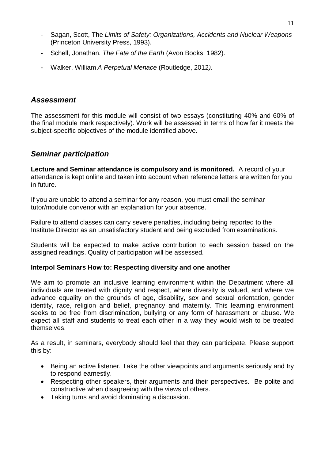- Sagan, Scott, The *Limits of Safety: Organizations, Accidents and Nuclear Weapons*  (Princeton University Press, 1993).
- Schell, Jonathan. *The Fate of the Earth* (Avon Books, 1982).
- Walker, William *A Perpetual Menace* (Routledge, 2012*).*

### *Assessment*

The assessment for this module will consist of two essays (constituting 40% and 60% of the final module mark respectively). Work will be assessed in terms of how far it meets the subject-specific objectives of the module identified above.

## *Seminar participation*

**Lecture and Seminar attendance is compulsory and is monitored.** A record of your attendance is kept online and taken into account when reference letters are written for you in future.

If you are unable to attend a seminar for any reason, you must email the seminar tutor/module convenor with an explanation for your absence.

Failure to attend classes can carry severe penalties, including being reported to the Institute Director as an unsatisfactory student and being excluded from examinations.

Students will be expected to make active contribution to each session based on the assigned readings. Quality of participation will be assessed.

#### **Interpol Seminars How to: Respecting diversity and one another**

We aim to promote an inclusive learning environment within the Department where all individuals are treated with dignity and respect, where diversity is valued, and where we advance equality on the grounds of age, disability, sex and sexual orientation, gender identity, race, religion and belief, pregnancy and maternity. This learning environment seeks to be free from discrimination, bullying or any form of harassment or abuse. We expect all staff and students to treat each other in a way they would wish to be treated themselves.

As a result, in seminars, everybody should feel that they can participate. Please support this by:

- Being an active listener. Take the other viewpoints and arguments seriously and try to respond earnestly.
- Respecting other speakers, their arguments and their perspectives. Be polite and constructive when disagreeing with the views of others.
- Taking turns and avoid dominating a discussion.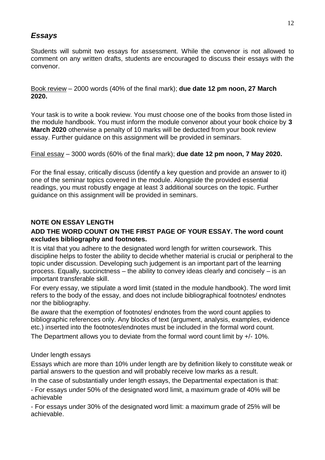# *Essays*

Students will submit two essays for assessment. While the convenor is not allowed to comment on any written drafts, students are encouraged to discuss their essays with the convenor.

Book review – 2000 words (40% of the final mark); **due date 12 pm noon, 27 March 2020.**

Your task is to write a book review. You must choose one of the books from those listed in the module handbook. You must inform the module convenor about your book choice by **3 March 2020** otherwise a penalty of 10 marks will be deducted from your book review essay. Further guidance on this assignment will be provided in seminars.

Final essay – 3000 words (60% of the final mark); **due date 12 pm noon, 7 May 2020.**

For the final essay, critically discuss (identify a key question and provide an answer to it) one of the seminar topics covered in the module. Alongside the provided essential readings, you must robustly engage at least 3 additional sources on the topic. Further guidance on this assignment will be provided in seminars.

## **NOTE ON ESSAY LENGTH**

#### **ADD THE WORD COUNT ON THE FIRST PAGE OF YOUR ESSAY. The word count excludes bibliography and footnotes.**

It is vital that you adhere to the designated word length for written coursework. This discipline helps to foster the ability to decide whether material is crucial or peripheral to the topic under discussion. Developing such judgement is an important part of the learning process. Equally, succinctness – the ability to convey ideas clearly and concisely – is an important transferable skill.

For every essay, we stipulate a word limit (stated in the module handbook). The word limit refers to the body of the essay, and does not include bibliographical footnotes/ endnotes nor the bibliography.

Be aware that the exemption of footnotes/ endnotes from the word count applies to bibliographic references only. Any blocks of text (argument, analysis, examples, evidence etc.) inserted into the footnotes/endnotes must be included in the formal word count.

The Department allows you to deviate from the formal word count limit by +/- 10%.

#### Under length essays

Essays which are more than 10% under length are by definition likely to constitute weak or partial answers to the question and will probably receive low marks as a result.

In the case of substantially under length essays, the Departmental expectation is that:

- For essays under 50% of the designated word limit, a maximum grade of 40% will be achievable

- For essays under 30% of the designated word limit: a maximum grade of 25% will be achievable.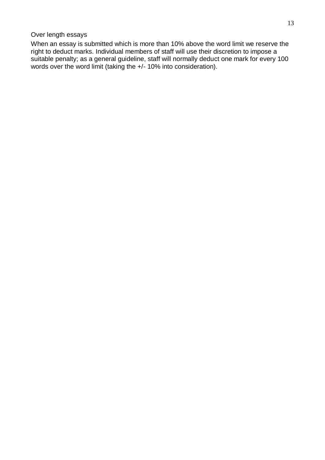#### Over length essays

When an essay is submitted which is more than 10% above the word limit we reserve the right to deduct marks. Individual members of staff will use their discretion to impose a suitable penalty; as a general guideline, staff will normally deduct one mark for every 100 words over the word limit (taking the +/- 10% into consideration).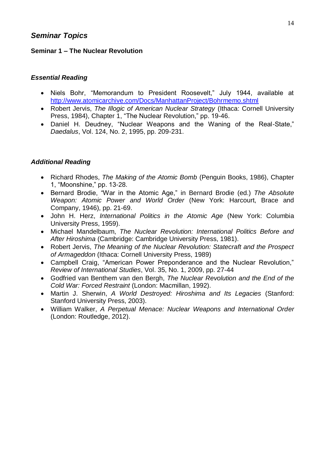# *Seminar Topics*

#### **Seminar 1 – The Nuclear Revolution**

### *Essential Reading*

- Niels Bohr, "Memorandum to President Roosevelt," July 1944, available at <http://www.atomicarchive.com/Docs/ManhattanProject/Bohrmemo.shtml>
- Robert Jervis, *The Illogic of American Nuclear Strategy* (Ithaca: Cornell University Press, 1984), Chapter 1, "The Nuclear Revolution," pp. 19-46.
- Daniel H. Deudney, "Nuclear Weapons and the Waning of the Real-State," *Daedalus*, Vol. 124, No. 2, 1995, pp. 209-231.

- Richard Rhodes, *The Making of the Atomic Bomb* (Penguin Books, 1986), Chapter 1, "Moonshine," pp. 13-28.
- Bernard Brodie, "War in the Atomic Age," in Bernard Brodie (ed.) *The Absolute Weapon: Atomic Power and World Order* (New York: Harcourt, Brace and Company, 1946), pp. 21-69.
- John H. Herz, *International Politics in the Atomic Age* (New York: Columbia University Press, 1959).
- Michael Mandelbaum, *The Nuclear Revolution: International Politics Before and After Hiroshima* (Cambridge: Cambridge University Press, 1981).
- Robert Jervis, *The Meaning of the Nuclear Revolution: Statecraft and the Prospect of Armageddon* (Ithaca: Cornell University Press, 1989)
- Campbell Craig, "American Power Preponderance and the Nuclear Revolution," *Review of International Studies*, Vol. 35, No. 1, 2009, pp. 27-44
- Godfried van Benthem van den Bergh, *The Nuclear Revolution and the End of the Cold War: Forced Restraint* (London: Macmillan, 1992).
- Martin J. Sherwin, *A World Destroyed: Hiroshima and Its Legacies* (Stanford: Stanford University Press, 2003).
- William Walker, *A Perpetual Menace: Nuclear Weapons and International Order* (London: Routledge, 2012).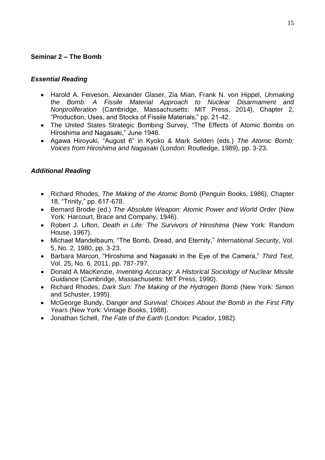## **Seminar 2 – The Bomb**

#### *Essential Reading*

- Harold A. Feiveson, Alexander Glaser, Zia Mian, Frank N. von Hippel, *Unmaking the Bomb: A Fissile Material Approach to Nuclear Disarmament and Nonproliferation* (Cambridge, Massachusetts: MIT Press, 2014), Chapter 2, "Production, Uses, and Stocks of Fissile Materials," pp. 21-42.
- The United States Strategic Bombing Survey, "The Effects of Atomic Bombs on Hiroshima and Nagasaki," June 1946.
- Agawa Hiroyuki, "August 6" in Kyoko & Mark Selden (eds.) *The Atomic Bomb: Voices from Hiroshima and Nagasaki* (London: Routledge, 1989), pp. 3-23.

- Richard Rhodes, *The Making of the Atomic Bomb* (Penguin Books, 1986), Chapter 18, "Trinity," pp. 617-678.
- Bernard Brodie (ed.) *The Absolute Weapon: Atomic Power and World Order* (New York: Harcourt, Brace and Company, 1946).
- Robert J. Lifton, *Death in Life: The Survivors of Hiroshima* (New York: Random House, 1967).
- Michael Mandelbaum, "The Bomb, Dread, and Eternity," *International Security*, Vol. 5, No. 2, 1980, pp. 3-23.
- Barbara Marcon, "Hiroshima and Nagasaki in the Eye of the Camera," *Third Text*, Vol. 25, No. 6, 2011, pp. 787-797.
- Donald A MacKenzie, *Inventing Accuracy: A Historical Sociology of Nuclear Missile Guidance* (Cambridge, Massachusetts: MIT Press, 1990).
- Richard Rhodes, *Dark Sun: The Making of the Hydrogen Bomb* (New York: Simon and Schuster, 1995).
- McGeorge Bundy, Dan*ger and Survival: Choices About the Bomb in the First Fifty Years* (New York: Vintage Books, 1988).
- Jonathan Schell, *The Fate of the Earth* (London: Picador, 1982).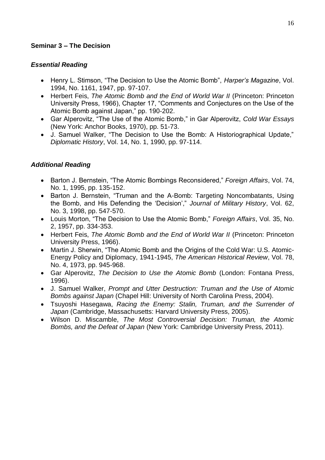## **Seminar 3 – The Decision**

#### *Essential Reading*

- Henry L. Stimson, "The Decision to Use the Atomic Bomb", *Harper's Magazine*, Vol. 1994, No. 1161, 1947, pp. 97-107.
- Herbert Feis, *The Atomic Bomb and the End of World War II* (Princeton: Princeton University Press, 1966), Chapter 17, "Comments and Conjectures on the Use of the Atomic Bomb against Japan," pp. 190-202.
- Gar Alperovitz, "The Use of the Atomic Bomb," in Gar Alperovitz, *Cold War Essays* (New York: Anchor Books, 1970), pp. 51-73.
- J. Samuel Walker, "The Decision to Use the Bomb: A Historiographical Update," *Diplomatic History*, Vol. 14, No. 1, 1990, pp. 97-114.

- Barton J. Bernstein, "The Atomic Bombings Reconsidered," *Foreign Affairs*, Vol. 74, No. 1, 1995, pp. 135-152.
- Barton J. Bernstein, "Truman and the A-Bomb: Targeting Noncombatants, Using the Bomb, and His Defending the 'Decision'," *Journal of Military History*, Vol. 62, No. 3, 1998, pp. 547-570.
- Louis Morton, "The Decision to Use the Atomic Bomb," *Foreign Affairs*, Vol. 35, No. 2, 1957, pp. 334-353.
- Herbert Feis, *The Atomic Bomb and the End of World War II* (Princeton: Princeton University Press, 1966).
- Martin J. Sherwin, "The Atomic Bomb and the Origins of the Cold War: U.S. Atomic-Energy Policy and Diplomacy, 1941-1945, *The American Historical Review*, Vol. 78, No. 4, 1973, pp. 945-968.
- Gar Alperovitz, *The Decision to Use the Atomic Bomb* (London: Fontana Press, 1996).
- J. Samuel Walker, *Prompt and Utter Destruction: Truman and the Use of Atomic Bombs against Japan* (Chapel Hill: University of North Carolina Press, 2004).
- Tsuyoshi Hasegawa, *Racing the Enemy: Stalin, Truman, and the Surrender of Japan* (Cambridge, Massachusetts: Harvard University Press, 2005).
- Wilson D. Miscamble, *The Most Controversial Decision: Truman, the Atomic Bombs, and the Defeat of Japan* (New York: Cambridge University Press, 2011).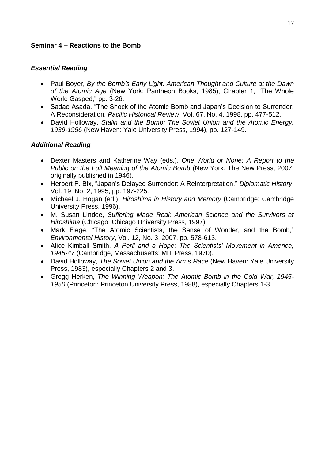#### **Seminar 4 – Reactions to the Bomb**

### *Essential Reading*

- Paul Boyer, *By the Bomb's Early Light: American Thought and Culture at the Dawn of the Atomic Age* (New York: Pantheon Books, 1985), Chapter 1, "The Whole World Gasped," pp. 3-26.
- Sadao Asada, "The Shock of the Atomic Bomb and Japan's Decision to Surrender: A Reconsideration, *Pacific Historical Review*, Vol. 67, No. 4, 1998, pp. 477-512.
- David Holloway, *Stalin and the Bomb: The Soviet Union and the Atomic Energy, 1939-1956* (New Haven: Yale University Press, 1994), pp. 127-149.

- Dexter Masters and Katherine Way (eds.), *One World or None: A Report to the Public on the Full Meaning of the Atomic Bomb* (New York: The New Press, 2007; originally published in 1946).
- Herbert P. Bix, "Japan's Delayed Surrender: A Reinterpretation," *Diplomatic History*, Vol. 19, No. 2, 1995, pp. 197-225.
- Michael J. Hogan (ed.), *Hiroshima in History and Memory* (Cambridge: Cambridge University Press, 1996).
- M. Susan Lindee, *Suffering Made Real: American Science and the Survivors at Hiroshima* (Chicago: Chicago University Press, 1997).
- Mark Fiege, "The Atomic Scientists, the Sense of Wonder, and the Bomb," *Environmental History*, Vol. 12, No. 3, 2007, pp. 578-613.
- Alice Kimball Smith, *A Peril and a Hope: The Scientists' Movement in America, 1945-47* (Cambridge, Massachusetts: MIT Press, 1970).
- David Holloway, *The Soviet Union and the Arms Race* (New Haven: Yale University Press, 1983), especially Chapters 2 and 3.
- Gregg Herken, *The Winning Weapon: The Atomic Bomb in the Cold War, 1945- 1950* (Princeton: Princeton University Press, 1988), especially Chapters 1-3.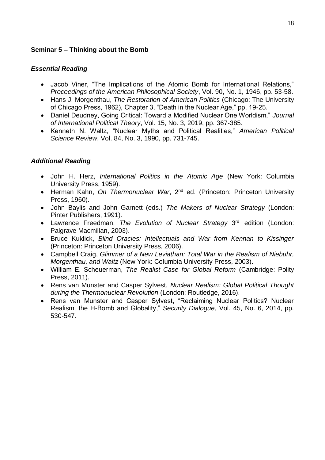## **Seminar 5 – Thinking about the Bomb**

#### *Essential Reading*

- Jacob Viner, "The Implications of the Atomic Bomb for International Relations," *Proceedings of the American Philosophical Society*, Vol. 90, No. 1, 1946, pp. 53-58.
- Hans J. Morgenthau, *The Restoration of American Politics* (Chicago: The University of Chicago Press, 1962), Chapter 3, "Death in the Nuclear Age," pp. 19-25.
- Daniel Deudney, Going Critical: Toward a Modified Nuclear One Worldism," *Journal of International Political Theory*, Vol. 15, No. 3, 2019, pp. 367-385.
- Kenneth N. Waltz, "Nuclear Myths and Political Realities," *American Political Science Review*, Vol. 84, No. 3, 1990, pp. 731-745.

- John H. Herz, *International Politics in the Atomic Age* (New York: Columbia University Press, 1959).
- Herman Kahn, On Thermonuclear War, 2<sup>nd</sup> ed. (Princeton: Princeton University Press, 1960).
- John Baylis and John Garnett (eds.) *The Makers of Nuclear Strategy* (London: Pinter Publishers, 1991).
- Lawrence Freedman, The Evolution of Nuclear Strategy 3<sup>rd</sup> edition (London: Palgrave Macmillan, 2003).
- Bruce Kuklick, *Blind Oracles: Intellectuals and War from Kennan to Kissinger* (Princeton: Princeton University Press, 2006).
- Campbell Craig, *Glimmer of a New Leviathan: Total War in the Realism of Niebuhr, Morgenthau, and Waltz* (New York: Columbia University Press, 2003).
- William E. Scheuerman, *The Realist Case for Global Reform* (Cambridge: Polity Press, 2011).
- Rens van Munster and Casper Sylvest, *Nuclear Realism: Global Political Thought during the Thermonuclear Revolution* (London: Routledge, 2016).
- Rens van Munster and Casper Sylvest, "Reclaiming Nuclear Politics? Nuclear Realism, the H-Bomb and Globality," *Security Dialogue*, Vol. 45, No. 6, 2014, pp. 530-547.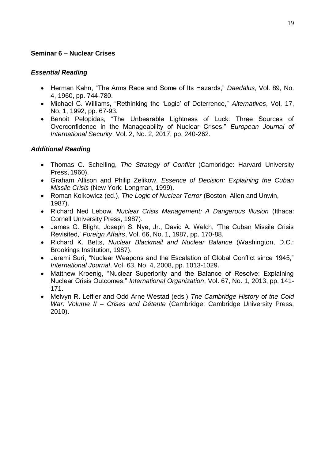### **Seminar 6 – Nuclear Crises**

#### *Essential Reading*

- Herman Kahn, "The Arms Race and Some of Its Hazards," *Daedalus*, Vol. 89, No. 4, 1960, pp. 744-780.
- Michael C. Williams, "Rethinking the 'Logic' of Deterrence," *Alternatives*, Vol. 17, No. 1, 1992, pp. 67-93.
- Benoit Pelopidas, "The Unbearable Lightness of Luck: Three Sources of Overconfidence in the Manageability of Nuclear Crises," *European Journal of International Security*, Vol. 2, No. 2, 2017, pp. 240-262.

- Thomas C. Schelling, *The Strategy of Conflict* (Cambridge: Harvard University Press, 1960).
- Graham Allison and Philip Zelikow, *Essence of Decision: Explaining the Cuban Missile Crisis* (New York: Longman, 1999).
- Roman Kolkowicz (ed.), *The Logic of Nuclear Terror* (Boston: Allen and Unwin, 1987).
- Richard Ned Lebow, *Nuclear Crisis Management: A Dangerous Illusion* (Ithaca: Cornell University Press, 1987).
- James G. Blight, Joseph S. Nye, Jr., David A. Welch, 'The Cuban Missile Crisis Revisited,' *Foreign Affairs*, Vol. 66, No. 1, 1987, pp. 170-88.
- Richard K. Betts, *Nuclear Blackmail and Nuclear Balance* (Washington, D.C.: Brookings Institution, 1987).
- Jeremi Suri, "Nuclear Weapons and the Escalation of Global Conflict since 1945," *International Journal*, Vol. 63, No. 4, 2008, pp. 1013-1029.
- Matthew Kroenig, "Nuclear Superiority and the Balance of Resolve: Explaining Nuclear Crisis Outcomes," *International Organization*, Vol. 67, No. 1, 2013, pp. 141- 171.
- Melvyn R. Leffler and Odd Arne Westad (eds.) *The Cambridge History of the Cold War: Volume II – Crises and Détente* (Cambridge: Cambridge University Press, 2010).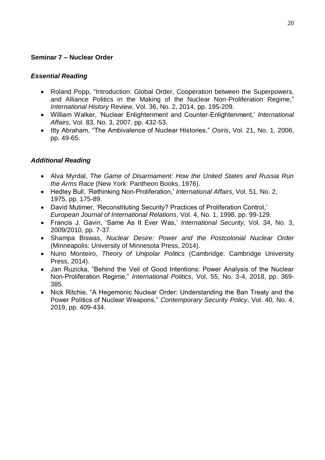## **Seminar 7 – Nuclear Order**

#### *Essential Reading*

- Roland Popp, "Introduction: Global Order, Cooperation between the Superpowers, and Alliance Politics in the Making of the Nuclear Non-Proliferation Regime," *International History* Review, Vol. 36, No. 2, 2014, pp. 195-209.
- William Walker, 'Nuclear Enlightenment and Counter-Enlightenment,' *International Affairs*, Vol. 83, No. 3, 2007, pp. 432-53.
- Itty Abraham, "The Ambivalence of Nuclear Histories," *Osiris*, Vol. 21, No. 1, 2006, pp. 49-65.

- Alva Myrdal, *The Game of Disarmament: How the United States and Russia Run the Arms Race* (New York: Pantheon Books, 1976).
- Hedley Bull, 'Rethinking Non-Proliferation,' *International Affairs*, Vol. 51, No. 2, 1975, pp. 175-89.
- David Mutimer, 'Reconstituting Security? Practices of Proliferation Control,' *European Journal of International Relations*, Vol. 4, No. 1, 1998, pp. 99-129.
- Francis J. Gavin, 'Same As It Ever Was,' *International Security*, Vol. 34, No. 3, 2009/2010, pp. 7-37.
- Shampa Biswas, *Nuclear Desire: Power and the Postcolonial Nuclear Order* (Minneapolis: University of Minnesota Press, 2014).
- Nuno Monteiro, *Theory of Unipolar Politics* (Cambridge: Cambridge University Press, 2014).
- Jan Ruzicka, "Behind the Veil of Good Intentions: Power Analysis of the Nuclear Non-Proliferation Regime," *International Politics*, Vol. 55, No. 3-4, 2018, pp. 369- 385.
- Nick Ritchie, "A Hegemonic Nuclear Order: Understanding the Ban Treaty and the Power Politics of Nuclear Weapons," *Contemporary Security Policy*, Vol. 40, No. 4, 2019, pp. 409-434.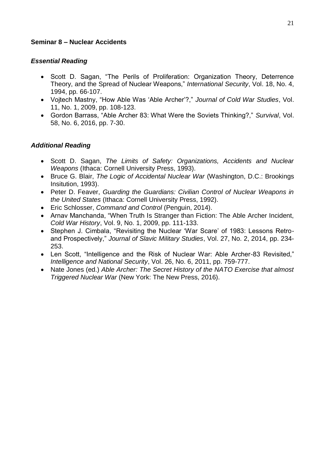#### **Seminar 8 – Nuclear Accidents**

#### *Essential Reading*

- Scott D. Sagan, "The Perils of Proliferation: Organization Theory, Deterrence Theory, and the Spread of Nuclear Weapons," *International Security*, Vol. 18, No. 4, 1994, pp. 66-107.
- Vojtech Mastny, "How Able Was 'Able Archer'?," *Journal of Cold War Studies*, Vol. 11, No. 1, 2009, pp. 108-123.
- Gordon Barrass, "Able Archer 83: What Were the Soviets Thinking?," *Survival*, Vol. 58, No. 6, 2016, pp. 7-30.

- Scott D. Sagan, *The Limits of Safety: Organizations, Accidents and Nuclear Weapons* (Ithaca: Cornell University Press, 1993).
- Bruce G. Blair, *The Logic of Accidental Nuclear War* (Washington, D.C.: Brookings Insitution, 1993).
- Peter D. Feaver, *Guarding the Guardians: Civilian Control of Nuclear Weapons in the United States* (Ithaca: Cornell University Press, 1992).
- Eric Schlosser, *Command and Control* (Penguin, 2014).
- Arnav Manchanda, "When Truth Is Stranger than Fiction: The Able Archer Incident, *Cold War History*, Vol. 9, No. 1, 2009, pp. 111-133.
- Stephen J. Cimbala, "Revisiting the Nuclear 'War Scare' of 1983: Lessons Retroand Prospectively," *Journal of Slavic Military Studies*, Vol. 27, No. 2, 2014, pp. 234- 253.
- Len Scott, "Intelligence and the Risk of Nuclear War: Able Archer-83 Revisited," *Intelligence and National Security*, Vol. 26, No. 6, 2011, pp. 759-777.
- Nate Jones (ed.) *Able Archer: The Secret History of the NATO Exercise that almost Triggered Nuclear War* (New York: The New Press, 2016).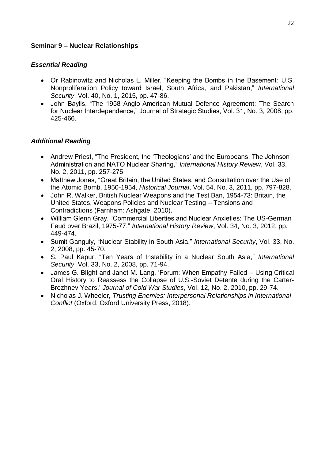#### **Seminar 9 – Nuclear Relationships**

#### *Essential Reading*

- Or Rabinowitz and Nicholas L. Miller, "Keeping the Bombs in the Basement: U.S. Nonproliferation Policy toward Israel, South Africa, and Pakistan," *International Security*, Vol. 40, No. 1, 2015, pp. 47-86.
- John Baylis, "The 1958 Anglo-American Mutual Defence Agreement: The Search for Nuclear Interdependence," Journal of Strategic Studies, Vol. 31, No. 3, 2008, pp. 425-466.

- Andrew Priest, "The President, the 'Theologians' and the Europeans: The Johnson Administration and NATO Nuclear Sharing," *International History Review*, Vol. 33, No. 2, 2011, pp. 257-275.
- Matthew Jones, "Great Britain, the United States, and Consultation over the Use of the Atomic Bomb, 1950-1954, *Historical Journal*, Vol. 54, No. 3, 2011, pp. 797-828.
- John R. Walker, British Nuclear Weapons and the Test Ban, 1954-73: Britain, the United States, Weapons Policies and Nuclear Testing – Tensions and Contradictions (Farnham: Ashgate, 2010).
- William Glenn Gray, "Commercial Liberties and Nuclear Anxieties: The US-German Feud over Brazil, 1975-77," *International History Review*, Vol. 34, No. 3, 2012, pp. 449-474.
- Sumit Ganguly, "Nuclear Stability in South Asia," *International Security*, Vol. 33, No. 2, 2008, pp. 45-70.
- S. Paul Kapur, "Ten Years of Instability in a Nuclear South Asia," *International Security*, Vol. 33, No. 2, 2008, pp. 71-94.
- James G. Blight and Janet M. Lang, 'Forum: When Empathy Failed Using Critical Oral History to Reassess the Collapse of U.S.-Soviet Detente during the Carter-Brezhnev Years,' *Journal of Cold War Studies*, Vol. 12, No. 2, 2010, pp. 29-74.
- Nicholas J. Wheeler, *Trusting Enemies: Interpersonal Relationships in International Conflict* (Oxford: Oxford University Press, 2018).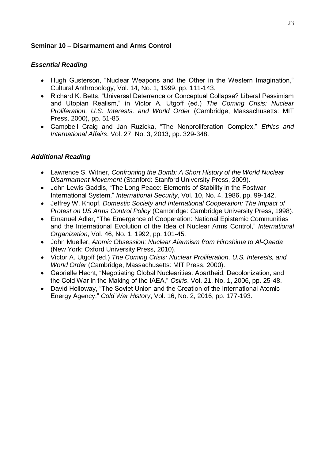## **Seminar 10 – Disarmament and Arms Control**

## *Essential Reading*

- Hugh Gusterson, "Nuclear Weapons and the Other in the Western Imagination," Cultural Anthropology, Vol. 14, No. 1, 1999, pp. 111-143.
- Richard K. Betts, "Universal Deterrence or Conceptual Collapse? Liberal Pessimism and Utopian Realism," in Victor A. Utgoff (ed.) *The Coming Crisis: Nuclear Proliferation, U.S. Interests, and World Order* (Cambridge, Massachusetts: MIT Press, 2000), pp. 51-85.
- Campbell Craig and Jan Ruzicka, "The Nonproliferation Complex," *Ethics and International Affairs*, Vol. 27, No. 3, 2013, pp. 329-348.

- Lawrence S. Witner, *Confronting the Bomb: A Short History of the World Nuclear Disarmament Movement* (Stanford: Stanford University Press, 2009).
- John Lewis Gaddis, "The Long Peace: Elements of Stability in the Postwar International System," *International Security*, Vol. 10, No. 4, 1986, pp. 99-142.
- Jeffrey W. Knopf, *Domestic Society and International Cooperation: The Impact of Protest on US Arms Control Policy* (Cambridge: Cambridge University Press, 1998).
- Emanuel Adler, "The Emergence of Cooperation: National Epistemic Communities and the International Evolution of the Idea of Nuclear Arms Control," *International Organization*, Vol. 46, No. 1, 1992, pp. 101-45.
- John Mueller, *Atomic Obsession: Nuclear Alarmism from Hiroshima to Al-Qaeda* (New York: Oxford University Press, 2010).
- Victor A. Utgoff (ed.) *The Coming Crisis: Nuclear Proliferation, U.S. Interests, and World Order* (Cambridge, Massachusetts: MIT Press, 2000).
- Gabrielle Hecht, "Negotiating Global Nuclearities: Apartheid, Decolonization, and the Cold War in the Making of the IAEA," *Osiris*, Vol. 21, No. 1, 2006, pp. 25-48.
- David Holloway, "The Soviet Union and the Creation of the International Atomic Energy Agency," *Cold War History*, Vol. 16, No. 2, 2016, pp. 177-193.